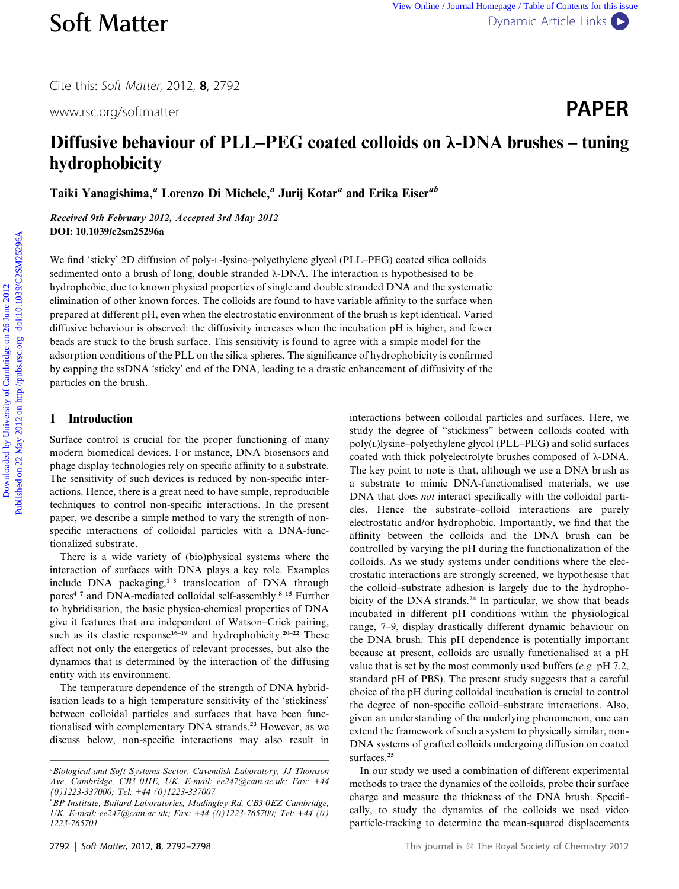Cite this: Soft Matter, 2012, <sup>8</sup>, 2792

www.rsc.org/softmatter **PAPER** 

# Diffusive behaviour of PLL–PEG coated colloids on  $\lambda$ -DNA brushes – tuning hydrophobicity

Taiki Yanagishima,<sup>a</sup> Lorenzo Di Michele,<sup>a</sup> Jurij Kotar<sup>a</sup> and Erika Eiser<sup>ab</sup>

Received 9th February 2012, Accepted 3rd May 2012 DOI: 10.1039/c2sm25296a

We find 'sticky' 2D diffusion of poly-L-lysine–polyethylene glycol (PLL–PEG) coated silica colloids sedimented onto a brush of long, double stranded  $\lambda$ -DNA. The interaction is hypothesised to be hydrophobic, due to known physical properties of single and double stranded DNA and the systematic elimination of other known forces. The colloids are found to have variable affinity to the surface when prepared at different pH, even when the electrostatic environment of the brush is kept identical. Varied diffusive behaviour is observed: the diffusivity increases when the incubation pH is higher, and fewer beads are stuck to the brush surface. This sensitivity is found to agree with a simple model for the adsorption conditions of the PLL on the silica spheres. The significance of hydrophobicity is confirmed by capping the ssDNA 'sticky' end of the DNA, leading to a drastic enhancement of diffusivity of the particles on the brush. **Soft Matter** <sup>View tissue Jeanni Home Download Content Content Cambridge on 26 June 2012 Published on 26 June 2012 on the Cambridge on 26 June 2012 on the Cambridge on 26 June 2012 Published and Table on 26 June 2012 on</sup>

# 1 Introduction

Surface control is crucial for the proper functioning of many modern biomedical devices. For instance, DNA biosensors and phage display technologies rely on specific affinity to a substrate. The sensitivity of such devices is reduced by non-specific interactions. Hence, there is a great need to have simple, reproducible techniques to control non-specific interactions. In the present paper, we describe a simple method to vary the strength of nonspecific interactions of colloidal particles with a DNA-functionalized substrate.

There is a wide variety of (bio)physical systems where the interaction of surfaces with DNA plays a key role. Examples include DNA packaging, $1-3$  translocation of DNA through pores<sup>4-7</sup> and DNA-mediated colloidal self-assembly.<sup>8-15</sup> Further to hybridisation, the basic physico-chemical properties of DNA give it features that are independent of Watson–Crick pairing, such as its elastic response<sup>16–19</sup> and hydrophobicity.<sup>20–22</sup> These affect not only the energetics of relevant processes, but also the dynamics that is determined by the interaction of the diffusing entity with its environment.

The temperature dependence of the strength of DNA hybridisation leads to a high temperature sensitivity of the 'stickiness' between colloidal particles and surfaces that have been functionalised with complementary DNA strands.<sup>23</sup> However, as we discuss below, non-specific interactions may also result in interactions between colloidal particles and surfaces. Here, we study the degree of ''stickiness'' between colloids coated with poly(L)lysine–polyethylene glycol (PLL–PEG) and solid surfaces coated with thick polyelectrolyte brushes composed of  $\lambda$ -DNA. The key point to note is that, although we use a DNA brush as a substrate to mimic DNA-functionalised materials, we use DNA that does not interact specifically with the colloidal particles. Hence the substrate–colloid interactions are purely electrostatic and/or hydrophobic. Importantly, we find that the affinity between the colloids and the DNA brush can be controlled by varying the pH during the functionalization of the colloids. As we study systems under conditions where the electrostatic interactions are strongly screened, we hypothesise that the colloid–substrate adhesion is largely due to the hydrophobicity of the DNA strands.<sup>24</sup> In particular, we show that beads incubated in different pH conditions within the physiological range, 7–9, display drastically different dynamic behaviour on the DNA brush. This pH dependence is potentially important because at present, colloids are usually functionalised at a pH value that is set by the most commonly used buffers (e.g. pH 7.2, standard pH of PBS). The present study suggests that a careful choice of the pH during colloidal incubation is crucial to control the degree of non-specific colloid–substrate interactions. Also, given an understanding of the underlying phenomenon, one can extend the framework of such a system to physically similar, non-DNA systems of grafted colloids undergoing diffusion on coated surfaces.<sup>25</sup>

In our study we used a combination of different experimental methods to trace the dynamics of the colloids, probe their surface charge and measure the thickness of the DNA brush. Specifically, to study the dynamics of the colloids we used video particle-tracking to determine the mean-squared displacements

<sup>&</sup>lt;sup>a</sup> Biological and Soft Systems Sector, Cavendish Laboratory, JJ Thomson Ave, Cambridge, CB3 0HE, UK. E-mail: ee247@cam.ac.uk; Fax: +44 (0)1223-337000; Tel: +44 (0)1223-337007

<sup>&</sup>lt;sup>b</sup>BP Institute, Bullard Laboratories, Madingley Rd, CB3 0EZ Cambridge, UK. E-mail: ee247@cam.ac.uk; Fax: +44 (0)1223-765700; Tel: +44 (0) 1223-765701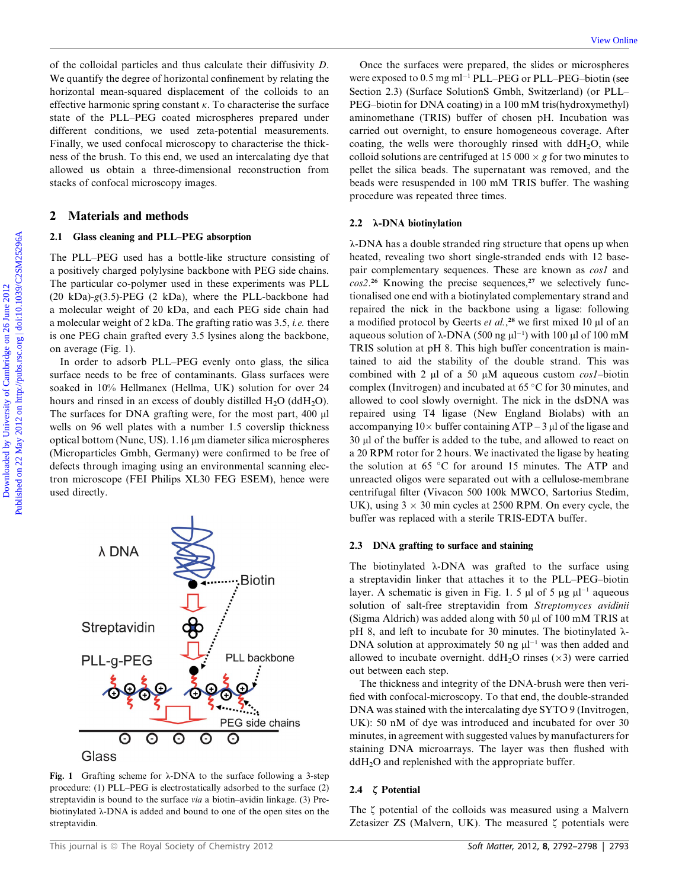of the colloidal particles and thus calculate their diffusivity D. We quantify the degree of horizontal confinement by relating the horizontal mean-squared displacement of the colloids to an effective harmonic spring constant  $\kappa$ . To characterise the surface state of the PLL–PEG coated microspheres prepared under different conditions, we used zeta-potential measurements. Finally, we used confocal microscopy to characterise the thickness of the brush. To this end, we used an intercalating dye that allowed us obtain a three-dimensional reconstruction from stacks of confocal microscopy images.

## 2 Materials and methods

#### 2.1 Glass cleaning and PLL–PEG absorption

The PLL–PEG used has a bottle-like structure consisting of a positively charged polylysine backbone with PEG side chains. The particular co-polymer used in these experiments was PLL (20 kDa)- $g(3.5)$ -PEG (2 kDa), where the PLL-backbone had a molecular weight of 20 kDa, and each PEG side chain had a molecular weight of 2 kDa. The grafting ratio was 3.5, i.e. there is one PEG chain grafted every 3.5 lysines along the backbone, on average (Fig. 1).

In order to adsorb PLL–PEG evenly onto glass, the silica surface needs to be free of contaminants. Glass surfaces were soaked in 10% Hellmanex (Hellma, UK) solution for over 24 hours and rinsed in an excess of doubly distilled  $H_2O$  (dd $H_2O$ ). The surfaces for DNA grafting were, for the most part, 400 µl wells on 96 well plates with a number 1.5 coverslip thickness optical bottom (Nunc, US). 1.16 µm diameter silica microspheres (Microparticles Gmbh, Germany) were confirmed to be free of defects through imaging using an environmental scanning electron microscope (FEI Philips XL30 FEG ESEM), hence were used directly.



Fig. 1 Grafting scheme for  $\lambda$ -DNA to the surface following a 3-step procedure: (1) PLL–PEG is electrostatically adsorbed to the surface (2) streptavidin is bound to the surface via a biotin–avidin linkage. (3) Prebiotinylated  $\lambda$ -DNA is added and bound to one of the open sites on the streptavidin.

Once the surfaces were prepared, the slides or microspheres were exposed to  $0.5$  mg ml<sup>-1</sup> PLL–PEG or PLL–PEG–biotin (see Section 2.3) (Surface SolutionS Gmbh, Switzerland) (or PLL– PEG–biotin for DNA coating) in a 100 mM tris(hydroxymethyl) aminomethane (TRIS) buffer of chosen pH. Incubation was carried out overnight, to ensure homogeneous coverage. After coating, the wells were thoroughly rinsed with  $ddH_2O$ , while colloid solutions are centrifuged at 15 000  $\times$  g for two minutes to pellet the silica beads. The supernatant was removed, and the beads were resuspended in 100 mM TRIS buffer. The washing procedure was repeated three times.

## 2.2  $\lambda$ -DNA biotinylation

l-DNA has a double stranded ring structure that opens up when heated, revealing two short single-stranded ends with 12 basepair complementary sequences. These are known as *cos1* and  $cos2.^{26}$  Knowing the precise sequences,<sup>27</sup> we selectively functionalised one end with a biotinylated complementary strand and repaired the nick in the backbone using a ligase: following a modified protocol by Geerts et al.,<sup>28</sup> we first mixed 10  $\mu$ l of an aqueous solution of  $\lambda$ -DNA (500 ng  $\mu$ l<sup>-1</sup>) with 100  $\mu$ l of 100 mM TRIS solution at pH 8. This high buffer concentration is maintained to aid the stability of the double strand. This was combined with 2  $\mu$ l of a 50  $\mu$ M aqueous custom *cos1*-biotin complex (Invitrogen) and incubated at  $65^{\circ}$ C for 30 minutes, and allowed to cool slowly overnight. The nick in the dsDNA was repaired using T4 ligase (New England Biolabs) with an accompanying  $10 \times$  buffer containing ATP – 3 µl of the ligase and 30 µl of the buffer is added to the tube, and allowed to react on a 20 RPM rotor for 2 hours. We inactivated the ligase by heating the solution at 65  $\degree$ C for around 15 minutes. The ATP and unreacted oligos were separated out with a cellulose-membrane centrifugal filter (Vivacon 500 100k MWCO, Sartorius Stedim, UK), using  $3 \times 30$  min cycles at 2500 RPM. On every cycle, the buffer was replaced with a sterile TRIS-EDTA buffer. of the collided particles and the anded<br>at diffusivity D. Once the anticipa sure restrained by the cambridge on<br>the collinear one of Cambridge on 2012 Published on 2012 Published on 2012 Published on the selection of<br>the

### 2.3 DNA grafting to surface and staining

The biotinylated  $\lambda$ -DNA was grafted to the surface using a streptavidin linker that attaches it to the PLL–PEG–biotin layer. A schematic is given in Fig. 1. 5  $\mu$ l of 5  $\mu$ g  $\mu$ l<sup>-1</sup> aqueous solution of salt-free streptavidin from Streptomyces avidinii (Sigma Aldrich) was added along with 50  $\mu$ l of 100 mM TRIS at pH 8, and left to incubate for 30 minutes. The biotinylated  $\lambda$ -DNA solution at approximately 50 ng  $\mu$ <sup>-1</sup> was then added and allowed to incubate overnight.  $ddH_2O$  rinses ( $\times$ 3) were carried out between each step.

The thickness and integrity of the DNA-brush were then verified with confocal-microscopy. To that end, the double-stranded DNA was stained with the intercalating dye SYTO 9 (Invitrogen, UK): 50 nM of dye was introduced and incubated for over 30 minutes, in agreement with suggested values by manufacturers for staining DNA microarrays. The layer was then flushed with ddH<sub>2</sub>O and replenished with the appropriate buffer.

#### 2.4  $\zeta$  Potential

The  $\zeta$  potential of the colloids was measured using a Malvern Zetasizer ZS (Malvern, UK). The measured  $\zeta$  potentials were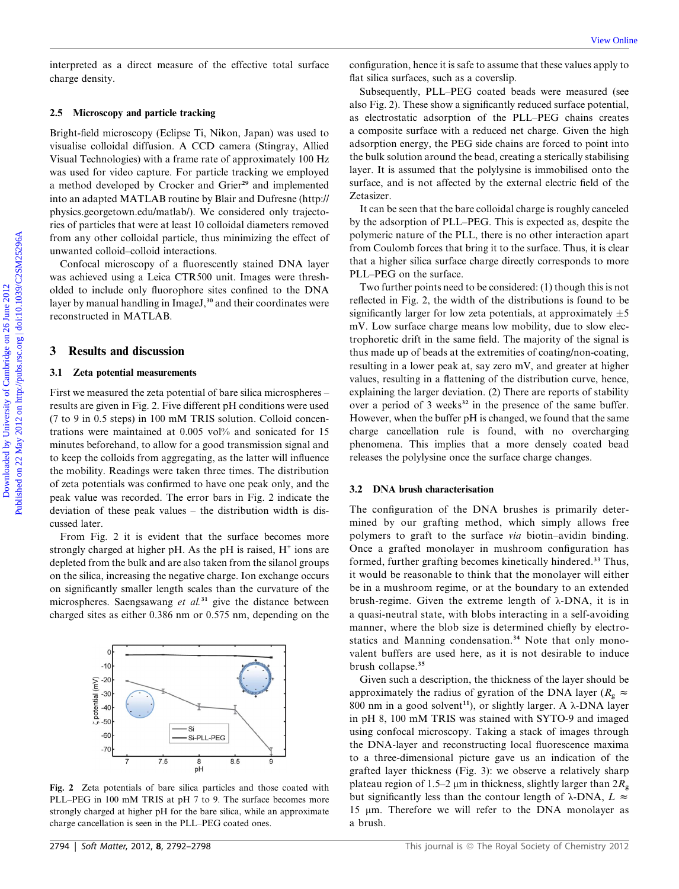interpreted as a direct measure of the effective total surface charge density.

#### 2.5 Microscopy and particle tracking

Bright-field microscopy (Eclipse Ti, Nikon, Japan) was used to visualise colloidal diffusion. A CCD camera (Stingray, Allied Visual Technologies) with a frame rate of approximately 100 Hz was used for video capture. For particle tracking we employed a method developed by Crocker and Grier<sup>29</sup> and implemented into an adapted MATLAB routine by Blair and Dufresne (http:// physics.georgetown.edu/matlab/). We considered only trajectories of particles that were at least 10 colloidal diameters removed from any other colloidal particle, thus minimizing the effect of unwanted colloid–colloid interactions.

Confocal microscopy of a fluorescently stained DNA layer was achieved using a Leica CTR500 unit. Images were thresholded to include only fluorophore sites confined to the DNA layer by manual handling in ImageJ,<sup>30</sup> and their coordinates were reconstructed in MATLAB.

## 3 Results and discussion

### 3.1 Zeta potential measurements

First we measured the zeta potential of bare silica microspheres – results are given in Fig. 2. Five different pH conditions were used (7 to 9 in 0.5 steps) in 100 mM TRIS solution. Colloid concentrations were maintained at 0.005 vol% and sonicated for 15 minutes beforehand, to allow for a good transmission signal and to keep the colloids from aggregating, as the latter will influence the mobility. Readings were taken three times. The distribution of zeta potentials was confirmed to have one peak only, and the peak value was recorded. The error bars in Fig. 2 indicate the deviation of these peak values – the distribution width is discussed later.

From Fig. 2 it is evident that the surface becomes more strongly charged at higher pH. As the pH is raised,  $H^+$  ions are depleted from the bulk and are also taken from the silanol groups on the silica, increasing the negative charge. Ion exchange occurs on significantly smaller length scales than the curvature of the microspheres. Saengsawang et  $al.^{31}$  give the distance between charged sites as either 0.386 nm or 0.575 nm, depending on the



Fig. 2 Zeta potentials of bare silica particles and those coated with PLL–PEG in 100 mM TRIS at pH 7 to 9. The surface becomes more strongly charged at higher pH for the bare silica, while an approximate charge cancellation is seen in the PLL–PEG coated ones.

configuration, hence it is safe to assume that these values apply to flat silica surfaces, such as a coverslip.

Subsequently, PLL–PEG coated beads were measured (see also Fig. 2). These show a significantly reduced surface potential, as electrostatic adsorption of the PLL–PEG chains creates a composite surface with a reduced net charge. Given the high adsorption energy, the PEG side chains are forced to point into the bulk solution around the bead, creating a sterically stabilising layer. It is assumed that the polylysine is immobilised onto the surface, and is not affected by the external electric field of the Zetasizer.

It can be seen that the bare colloidal charge is roughly canceled by the adsorption of PLL–PEG. This is expected as, despite the polymeric nature of the PLL, there is no other interaction apart from Coulomb forces that bring it to the surface. Thus, it is clear that a higher silica surface charge directly corresponds to more PLL–PEG on the surface.

Two further points need to be considered: (1) though this is not reflected in Fig. 2, the width of the distributions is found to be significantly larger for low zeta potentials, at approximately  $\pm 5$ mV. Low surface charge means low mobility, due to slow electrophoretic drift in the same field. The majority of the signal is thus made up of beads at the extremities of coating/non-coating, resulting in a lower peak at, say zero mV, and greater at higher values, resulting in a flattening of the distribution curve, hence, explaining the larger deviation. (2) There are reports of stability over a period of 3 weeks<sup>32</sup> in the presence of the same buffer. However, when the buffer pH is changed, we found that the same charge cancellation rule is found, with no overcharging phenomena. This implies that a more densely coated bead releases the polylysine once the surface charge changes. Download mission of the effective total surface configuration, based its assume that these values chemic considerably the state of the SU-Based on 2012 Published on 2012 and a state of the PU-PEG chains excellent to the S

## 3.2 DNA brush characterisation

The configuration of the DNA brushes is primarily determined by our grafting method, which simply allows free polymers to graft to the surface via biotin–avidin binding. Once a grafted monolayer in mushroom configuration has formed, further grafting becomes kinetically hindered.<sup>33</sup> Thus, it would be reasonable to think that the monolayer will either be in a mushroom regime, or at the boundary to an extended brush-regime. Given the extreme length of  $\lambda$ -DNA, it is in a quasi-neutral state, with blobs interacting in a self-avoiding manner, where the blob size is determined chiefly by electrostatics and Manning condensation.<sup>34</sup> Note that only monovalent buffers are used here, as it is not desirable to induce brush collapse.<sup>35</sup>

Given such a description, the thickness of the layer should be approximately the radius of gyration of the DNA layer ( $R_g \approx$ 800 nm in a good solvent<sup>11</sup>), or slightly larger. A  $\lambda$ -DNA layer in pH 8, 100 mM TRIS was stained with SYTO-9 and imaged using confocal microscopy. Taking a stack of images through the DNA-layer and reconstructing local fluorescence maxima to a three-dimensional picture gave us an indication of the grafted layer thickness (Fig. 3): we observe a relatively sharp plateau region of 1.5–2  $\mu$ m in thickness, slightly larger than  $2R<sub>g</sub>$ but significantly less than the contour length of  $\lambda$ -DNA,  $L \approx$ 15 µm. Therefore we will refer to the DNA monolayer as a brush.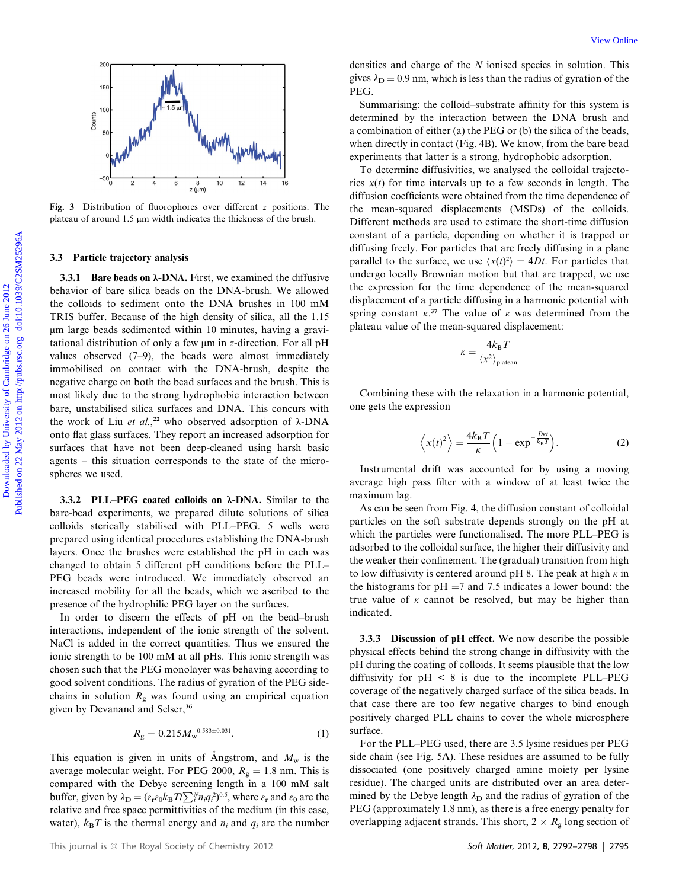

Fig. 3 Distribution of fluorophores over different z positions. The plateau of around 1.5  $\mu$ m width indicates the thickness of the brush.

#### 3.3 Particle trajectory analysis

3.3.1 Bare beads on  $\lambda$ -DNA. First, we examined the diffusive behavior of bare silica beads on the DNA-brush. We allowed the colloids to sediment onto the DNA brushes in 100 mM TRIS buffer. Because of the high density of silica, all the 1.15 mm large beads sedimented within 10 minutes, having a gravitational distribution of only a few  $\mu$ m in z-direction. For all pH values observed (7–9), the beads were almost immediately immobilised on contact with the DNA-brush, despite the negative charge on both the bead surfaces and the brush. This is most likely due to the strong hydrophobic interaction between bare, unstabilised silica surfaces and DNA. This concurs with the work of Liu et al.,<sup>22</sup> who observed adsorption of  $\lambda$ -DNA onto flat glass surfaces. They report an increased adsorption for surfaces that have not been deep-cleaned using harsh basic agents – this situation corresponds to the state of the microspheres we used. Download to the internal of the column internal of Cambridge on 26 June 2012 Published on 26 June 2012 Published on 26 June 2012 on 2012 Published on 2012 Published on 2012 Published on 2012 Published and the column of th

3.3.2 PLL–PEG coated colloids on  $\lambda$ -DNA. Similar to the bare-bead experiments, we prepared dilute solutions of silica colloids sterically stabilised with PLL–PEG. 5 wells were prepared using identical procedures establishing the DNA-brush layers. Once the brushes were established the pH in each was changed to obtain 5 different pH conditions before the PLL– PEG beads were introduced. We immediately observed an increased mobility for all the beads, which we ascribed to the presence of the hydrophilic PEG layer on the surfaces.

In order to discern the effects of pH on the bead–brush interactions, independent of the ionic strength of the solvent, NaCl is added in the correct quantities. Thus we ensured the ionic strength to be 100 mM at all pHs. This ionic strength was chosen such that the PEG monolayer was behaving according to good solvent conditions. The radius of gyration of the PEG sidechains in solution  $R_{\alpha}$  was found using an empirical equation given by Devanand and Selser,<sup>36</sup>

$$
R_{\rm g} = 0.215 M_{\rm w}^{0.583 \pm 0.031}.\tag{1}
$$

This equation is given in units of Angstrom, and  $M_w$  is the average molecular weight. For PEG 2000,  $R<sub>g</sub> = 1.8$  nm. This is compared with the Debye screening length in a 100 mM salt buffer, given by  $\lambda_{\mathbf{D}} = (\varepsilon_{\rm r} \varepsilon_0 k_{\rm B} T / \sum_{i}^{N} n_i q_i^2)^{0.5}$ , where  $\varepsilon_{\rm r}$  and  $\varepsilon_0$  are the relative and free space permittivities of the medium (in this case, water),  $k_BT$  is the thermal energy and  $n_i$  and  $q_i$  are the number

densities and charge of the N ionised species in solution. This gives  $\lambda_D = 0.9$  nm, which is less than the radius of gyration of the PEG.

Summarising: the colloid–substrate affinity for this system is determined by the interaction between the DNA brush and a combination of either (a) the PEG or (b) the silica of the beads, when directly in contact (Fig. 4B). We know, from the bare bead experiments that latter is a strong, hydrophobic adsorption.

To determine diffusivities, we analysed the colloidal trajectories  $x(t)$  for time intervals up to a few seconds in length. The diffusion coefficients were obtained from the time dependence of the mean-squared displacements (MSDs) of the colloids. Different methods are used to estimate the short-time diffusion constant of a particle, depending on whether it is trapped or diffusing freely. For particles that are freely diffusing in a plane parallel to the surface, we use  $\langle x(t)^2 \rangle = 4Dt$ . For particles that undergo locally Brownian motion but that are trapped, we use the expression for the time dependence of the mean-squared displacement of a particle diffusing in a harmonic potential with spring constant  $\kappa$ <sup>37</sup>. The value of  $\kappa$  was determined from the plateau value of the mean-squared displacement:

$$
\kappa = \frac{4k_{\rm B}T}{\langle x^2 \rangle_{\rm plateau}}
$$

Combining these with the relaxation in a harmonic potential, one gets the expression

$$
\left\langle x(t)^2 \right\rangle = \frac{4k_B T}{\kappa} \left( 1 - \exp^{-\frac{D\kappa t}{k_B T}} \right). \tag{2}
$$

Instrumental drift was accounted for by using a moving average high pass filter with a window of at least twice the maximum lag.

As can be seen from Fig. 4, the diffusion constant of colloidal particles on the soft substrate depends strongly on the pH at which the particles were functionalised. The more PLL–PEG is adsorbed to the colloidal surface, the higher their diffusivity and the weaker their confinement. The (gradual) transition from high to low diffusivity is centered around pH 8. The peak at high  $\kappa$  in the histograms for  $pH = 7$  and 7.5 indicates a lower bound: the true value of  $\kappa$  cannot be resolved, but may be higher than indicated.

3.3.3 Discussion of pH effect. We now describe the possible physical effects behind the strong change in diffusivity with the pH during the coating of colloids. It seems plausible that the low diffusivity for  $pH \leq 8$  is due to the incomplete PLL–PEG coverage of the negatively charged surface of the silica beads. In that case there are too few negative charges to bind enough positively charged PLL chains to cover the whole microsphere surface.

For the PLL–PEG used, there are 3.5 lysine residues per PEG side chain (see Fig. 5A). These residues are assumed to be fully dissociated (one positively charged amine moiety per lysine residue). The charged units are distributed over an area determined by the Debye length  $\lambda_D$  and the radius of gyration of the PEG (approximately 1.8 nm), as there is a free energy penalty for overlapping adjacent strands. This short,  $2 \times R_{\rm g}$  long section of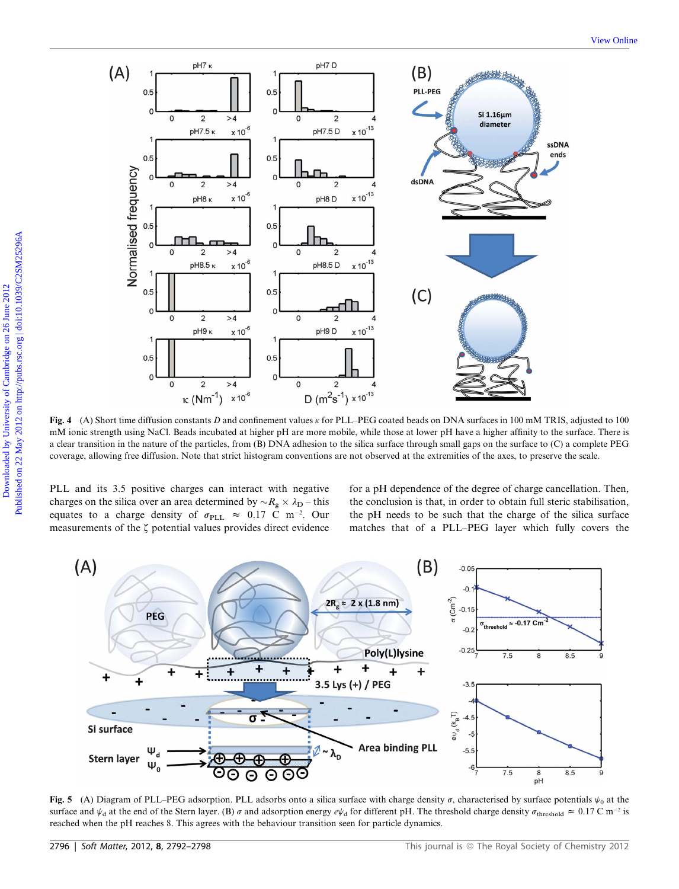

Fig. 4 (A) Short time diffusion constants D and confinement values  $\kappa$  for PLL–PEG coated beads on DNA surfaces in 100 mM TRIS, adjusted to 100 mM ionic strength using NaCl. Beads incubated at higher pH are more mobile, while those at lower pH have a higher affinity to the surface. There is a clear transition in the nature of the particles, from (B) DNA adhesion to the silica surface through small gaps on the surface to (C) a complete PEG coverage, allowing free diffusion. Note that strict histogram conventions are not observed at the extremities of the axes, to preserve the scale.

PLL and its 3.5 positive charges can interact with negative charges on the silica over an area determined by  $\sim R_g \times \lambda_D$  – this equates to a charge density of  $\sigma_{\text{PLL}} \approx 0.17 \text{ C m}^{-2}$ . Our measurements of the  $\zeta$  potential values provides direct evidence for a pH dependence of the degree of charge cancellation. Then, the conclusion is that, in order to obtain full steric stabilisation, the pH needs to be such that the charge of the silica surface matches that of a PLL–PEG layer which fully covers the



Fig. 5 (A) Diagram of PLL–PEG adsorption. PLL adsorbs onto a silica surface with charge density  $\sigma$ , characterised by surface potentials  $\psi_0$  at the surface and  $\psi_d$  at the end of the Stern layer. (B)  $\sigma$  and adsorption energy  $e\psi_d$  for different pH. The threshold charge density  $\sigma_{\text{threshold}} \approx 0.17 \text{ C m}^{-2}$  is reached when the pH reaches 8. This agrees with the behaviour transition seen for particle dynamics.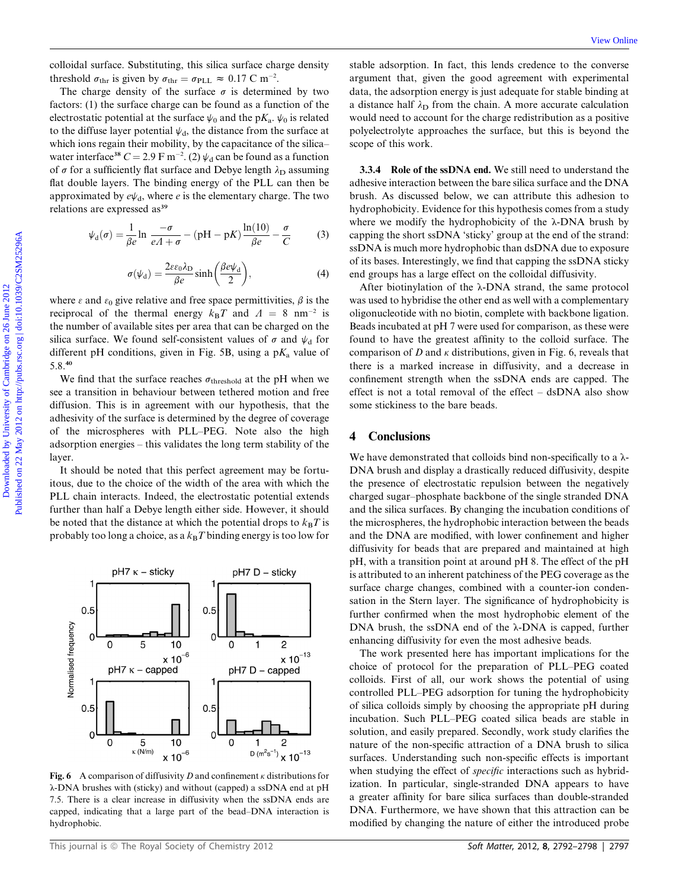colloidal surface. Substituting, this silica surface charge density threshold  $\sigma_{\text{thr}}$  is given by  $\sigma_{\text{thr}} = \sigma_{\text{PLL}} \approx 0.17 \text{ C m}^{-2}$ .

The charge density of the surface  $\sigma$  is determined by two factors: (1) the surface charge can be found as a function of the electrostatic potential at the surface  $\psi_0$  and the p $K_a$ .  $\psi_0$  is related to the diffuse layer potential  $\psi_d$ , the distance from the surface at which ions regain their mobility, by the capacitance of the silica– water interface<sup>38</sup>  $C = 2.9 \text{ F m}^{-2}$ . (2)  $\psi_d$  can be found as a function of  $\sigma$  for a sufficiently flat surface and Debye length  $\lambda_D$  assuming flat double layers. The binding energy of the PLL can then be approximated by  $e\psi_d$ , where e is the elementary charge. The two relations are expressed as<sup>39</sup>

$$
\psi_{d}(\sigma) = \frac{1}{\beta e} \ln \frac{-\sigma}{eA + \sigma} - (pH - pK) \frac{\ln(10)}{\beta e} - \frac{\sigma}{C}
$$
 (3)

$$
\sigma(\psi_{\rm d}) = \frac{2\varepsilon\varepsilon_0\lambda_{\rm D}}{\beta e}\sinh\left(\frac{\beta e\psi_{\rm d}}{2}\right),\tag{4}
$$

where  $\epsilon$  and  $\epsilon_0$  give relative and free space permittivities,  $\beta$  is the reciprocal of the thermal energy  $k_BT$  and  $A = 8$  nm<sup>-2</sup> is the number of available sites per area that can be charged on the silica surface. We found self-consistent values of  $\sigma$  and  $\psi_d$  for different pH conditions, given in Fig. 5B, using a  $pK_a$  value of 5.8.<sup>40</sup>

We find that the surface reaches  $\sigma_{\text{threshold}}$  at the pH when we see a transition in behaviour between tethered motion and free diffusion. This is in agreement with our hypothesis, that the adhesivity of the surface is determined by the degree of coverage of the microspheres with PLL–PEG. Note also the high adsorption energies – this validates the long term stability of the layer.

It should be noted that this perfect agreement may be fortuitous, due to the choice of the width of the area with which the PLL chain interacts. Indeed, the electrostatic potential extends further than half a Debye length either side. However, it should be noted that the distance at which the potential drops to  $k_BT$  is probably too long a choice, as a  $k_BT$  binding energy is too low for



Fig. 6 A comparison of diffusivity D and confinement  $\kappa$  distributions for l-DNA brushes with (sticky) and without (capped) a ssDNA end at pH 7.5. There is a clear increase in diffusivity when the ssDNA ends are capped, indicating that a large part of the bead–DNA interaction is hydrophobic.

stable adsorption. In fact, this lends credence to the converse argument that, given the good agreement with experimental data, the adsorption energy is just adequate for stable binding at a distance half  $\lambda_D$  from the chain. A more accurate calculation would need to account for the charge redistribution as a positive polyelectrolyte approaches the surface, but this is beyond the scope of this work.

3.3.4 Role of the ssDNA end. We still need to understand the adhesive interaction between the bare silica surface and the DNA brush. As discussed below, we can attribute this adhesion to hydrophobicity. Evidence for this hypothesis comes from a study where we modify the hydrophobicity of the  $\lambda$ -DNA brush by capping the short ssDNA 'sticky' group at the end of the strand: ssDNA is much more hydrophobic than dsDNA due to exposure of its bases. Interestingly, we find that capping the ssDNA sticky end groups has a large effect on the colloidal diffusivity.

After biotinylation of the  $\lambda$ -DNA strand, the same protocol was used to hybridise the other end as well with a complementary oligonucleotide with no biotin, complete with backbone ligation. Beads incubated at pH 7 were used for comparison, as these were found to have the greatest affinity to the colloid surface. The comparison of  $D$  and  $\kappa$  distributions, given in Fig. 6, reveals that there is a marked increase in diffusivity, and a decrease in confinement strength when the ssDNA ends are capped. The effect is not a total removal of the effect – dsDNA also show some stickiness to the bare beads. collidations (i.e. Schwisting, this sites and keep the site is a genus on the given by the content of the collision of the collision of the strength of the strength of the strength of the strength of the strength of the s

# 4 Conclusions

We have demonstrated that colloids bind non-specifically to a  $\lambda$ -DNA brush and display a drastically reduced diffusivity, despite the presence of electrostatic repulsion between the negatively charged sugar–phosphate backbone of the single stranded DNA and the silica surfaces. By changing the incubation conditions of the microspheres, the hydrophobic interaction between the beads and the DNA are modified, with lower confinement and higher diffusivity for beads that are prepared and maintained at high pH, with a transition point at around pH 8. The effect of the pH is attributed to an inherent patchiness of the PEG coverage as the surface charge changes, combined with a counter-ion condensation in the Stern layer. The significance of hydrophobicity is further confirmed when the most hydrophobic element of the DNA brush, the ssDNA end of the  $\lambda$ -DNA is capped, further enhancing diffusivity for even the most adhesive beads.

The work presented here has important implications for the choice of protocol for the preparation of PLL–PEG coated colloids. First of all, our work shows the potential of using controlled PLL–PEG adsorption for tuning the hydrophobicity of silica colloids simply by choosing the appropriate pH during incubation. Such PLL–PEG coated silica beads are stable in solution, and easily prepared. Secondly, work study clarifies the nature of the non-specific attraction of a DNA brush to silica surfaces. Understanding such non-specific effects is important when studying the effect of *specific* interactions such as hybridization. In particular, single-stranded DNA appears to have a greater affinity for bare silica surfaces than double-stranded DNA. Furthermore, we have shown that this attraction can be modified by changing the nature of either the introduced probe